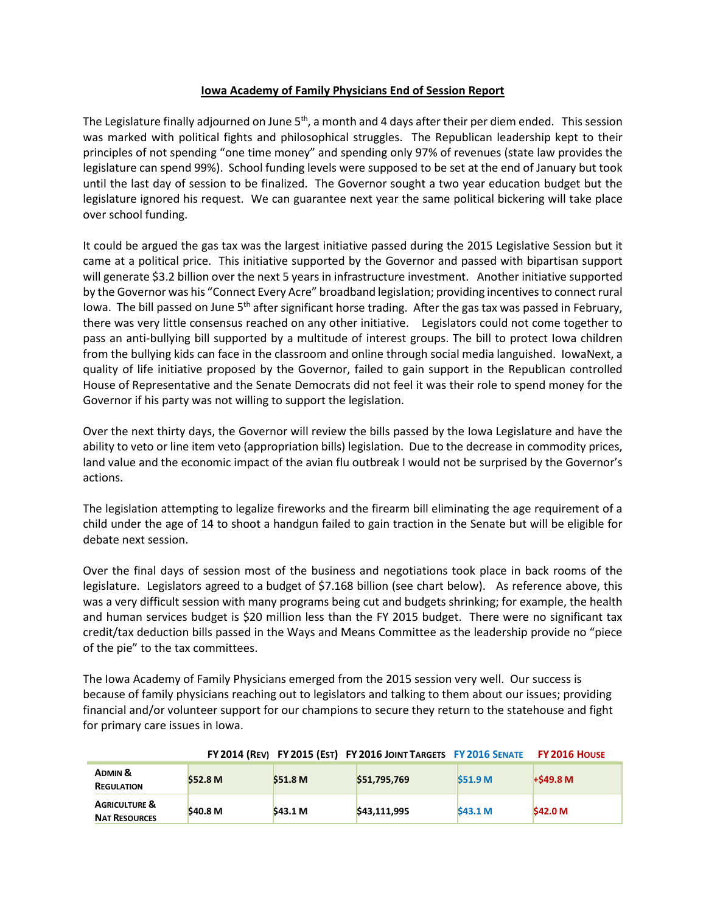## **Iowa Academy of Family Physicians End of Session Report**

The Legislature finally adjourned on June 5<sup>th</sup>, a month and 4 days after their per diem ended. This session was marked with political fights and philosophical struggles. The Republican leadership kept to their principles of not spending "one time money" and spending only 97% of revenues (state law provides the legislature can spend 99%). School funding levels were supposed to be set at the end of January but took until the last day of session to be finalized. The Governor sought a two year education budget but the legislature ignored his request. We can guarantee next year the same political bickering will take place over school funding.

It could be argued the gas tax was the largest initiative passed during the 2015 Legislative Session but it came at a political price. This initiative supported by the Governor and passed with bipartisan support will generate \$3.2 billion over the next 5 years in infrastructure investment. Another initiative supported by the Governor was his "Connect Every Acre" broadband legislation; providing incentives to connect rural Iowa. The bill passed on June  $5<sup>th</sup>$  after significant horse trading. After the gas tax was passed in February, there was very little consensus reached on any other initiative. Legislators could not come together to pass an anti-bullying bill supported by a multitude of interest groups. The bill to protect Iowa children from the bullying kids can face in the classroom and online through social media languished. IowaNext, a quality of life initiative proposed by the Governor, failed to gain support in the Republican controlled House of Representative and the Senate Democrats did not feel it was their role to spend money for the Governor if his party was not willing to support the legislation.

Over the next thirty days, the Governor will review the bills passed by the Iowa Legislature and have the ability to veto or line item veto (appropriation bills) legislation. Due to the decrease in commodity prices, land value and the economic impact of the avian flu outbreak I would not be surprised by the Governor's actions.

The legislation attempting to legalize fireworks and the firearm bill eliminating the age requirement of a child under the age of 14 to shoot a handgun failed to gain traction in the Senate but will be eligible for debate next session.

Over the final days of session most of the business and negotiations took place in back rooms of the legislature. Legislators agreed to a budget of \$7.168 billion (see chart below). As reference above, this was a very difficult session with many programs being cut and budgets shrinking; for example, the health and human services budget is \$20 million less than the FY 2015 budget. There were no significant tax credit/tax deduction bills passed in the Ways and Means Committee as the leadership provide no "piece of the pie" to the tax committees.

The Iowa Academy of Family Physicians emerged from the 2015 session very well. Our success is because of family physicians reaching out to legislators and talking to them about our issues; providing financial and/or volunteer support for our champions to secure they return to the statehouse and fight for primary care issues in Iowa.

|                                                  |                     |                     | FY 2014 (REV) FY 2015 (EST) FY 2016 JOINT TARGETS FY 2016 SENATE |                    | <b>FY 2016 HOUSE</b> |
|--------------------------------------------------|---------------------|---------------------|------------------------------------------------------------------|--------------------|----------------------|
| <b>ADMIN &amp;</b><br><b>REGULATION</b>          | \$52.8 M            | \$51.8 M            | \$51,795,769                                                     | S51.9 <sub>M</sub> | $+$ \$49.8 M         |
| <b>AGRICULTURE &amp;</b><br><b>NAT RESOURCES</b> | \$40.8 <sub>M</sub> | \$43.1 <sub>M</sub> | \$43.111.995                                                     | <b>S43.1 M</b>     | \$42.0 M             |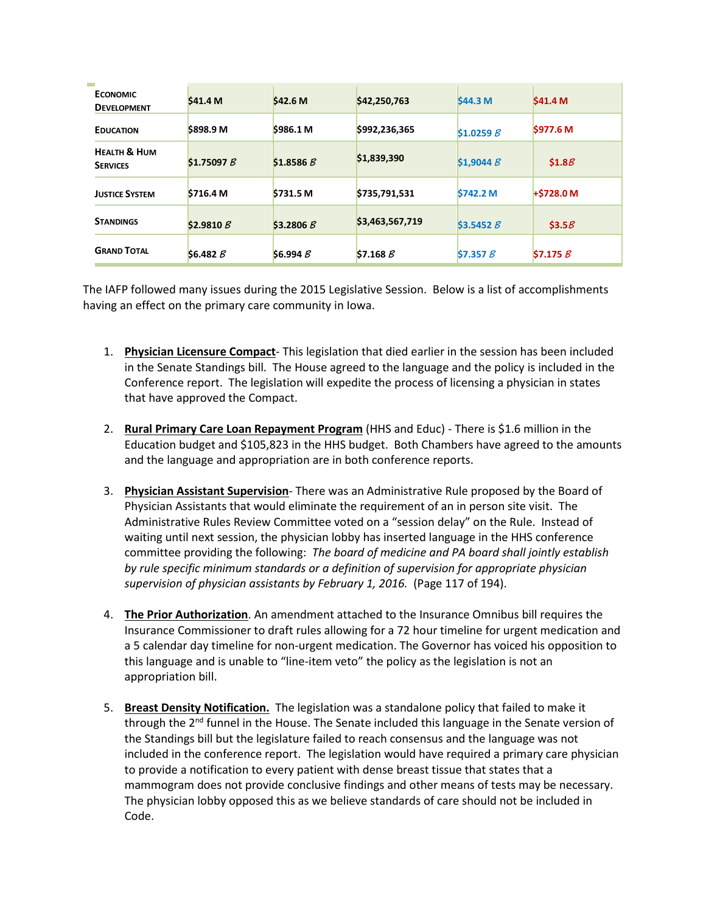| <b>ECONOMIC</b><br><b>DEVELOPMENT</b>      | \$41.4 M             | \$42.6 M  | \$42,250,763    | S44.3 M         | S41.4 M            |
|--------------------------------------------|----------------------|-----------|-----------------|-----------------|--------------------|
| <b>EDUCATION</b>                           | \$898.9 M            | \$986.1 M | \$992,236,365   | \$1.0259B       | \$977.6 M          |
| <b>HEALTH &amp; HUM</b><br><b>SERVICES</b> | \$1.75097B           | \$1.8586B | \$1,839,390     | \$1,9044B       | \$1.8 <sub>B</sub> |
| <b>JUSTICE SYSTEM</b>                      | \$716.4 <sub>M</sub> | \$731.5 M | \$735,791,531   | <b>S742.2 M</b> | $+5728.0 M$        |
| <b>STANDINGS</b>                           | \$2.9810 $B$         | \$3.2806B | \$3,463,567,719 | \$3.5452B       | \$3.5B             |
| <b>GRAND TOTAL</b>                         | \$6.482B             | \$6.994B  | \$7.168B        | \$7.357B        | \$7.175B           |

The IAFP followed many issues during the 2015 Legislative Session. Below is a list of accomplishments having an effect on the primary care community in Iowa.

- 1. **Physician Licensure Compact** This legislation that died earlier in the session has been included in the Senate Standings bill. The House agreed to the language and the policy is included in the Conference report. The legislation will expedite the process of licensing a physician in states that have approved the Compact.
- 2. **Rural Primary Care Loan Repayment Program** (HHS and Educ) There is \$1.6 million in the Education budget and \$105,823 in the HHS budget. Both Chambers have agreed to the amounts and the language and appropriation are in both conference reports.
- 3. **Physician Assistant Supervision** There was an Administrative Rule proposed by the Board of Physician Assistants that would eliminate the requirement of an in person site visit. The Administrative Rules Review Committee voted on a "session delay" on the Rule. Instead of waiting until next session, the physician lobby has inserted language in the HHS conference committee providing the following: *The board of medicine and PA board shall jointly establish by rule specific minimum standards or a definition of supervision for appropriate physician supervision of physician assistants by February 1, 2016.* (Page 117 of 194).
- 4. **The Prior Authorization**. An amendment attached to the Insurance Omnibus bill requires the Insurance Commissioner to draft rules allowing for a 72 hour timeline for urgent medication and a 5 calendar day timeline for non-urgent medication. The Governor has voiced his opposition to this language and is unable to "line-item veto" the policy as the legislation is not an appropriation bill.
- 5. **Breast Density Notification.** The legislation was a standalone policy that failed to make it through the 2<sup>nd</sup> funnel in the House. The Senate included this language in the Senate version of the Standings bill but the legislature failed to reach consensus and the language was not included in the conference report. The legislation would have required a primary care physician to provide a notification to every patient with dense breast tissue that states that a mammogram does not provide conclusive findings and other means of tests may be necessary. The physician lobby opposed this as we believe standards of care should not be included in Code.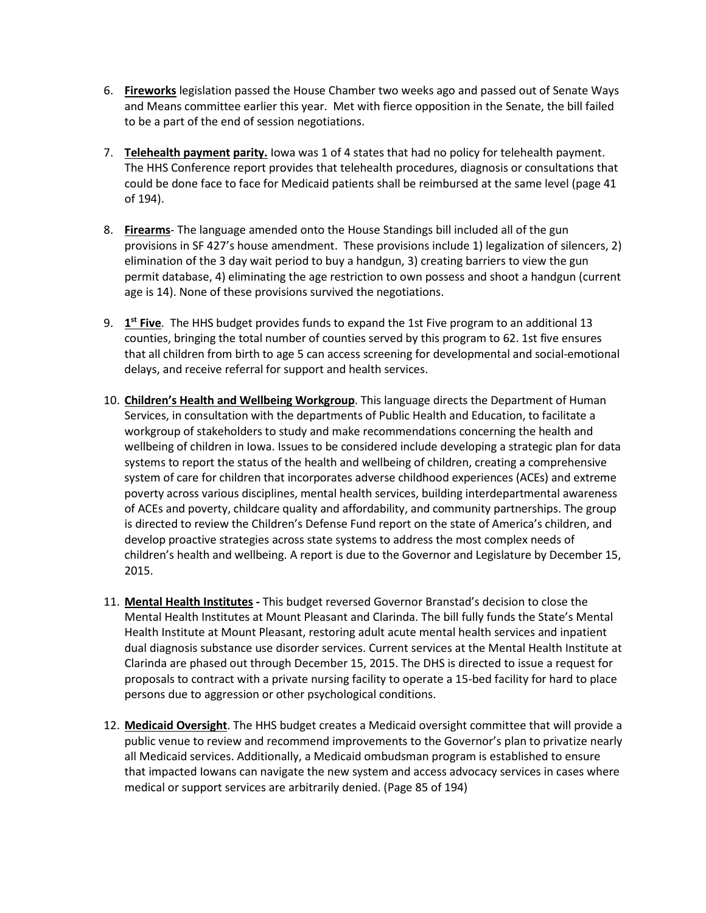- 6. **Fireworks** legislation passed the House Chamber two weeks ago and passed out of Senate Ways and Means committee earlier this year. Met with fierce opposition in the Senate, the bill failed to be a part of the end of session negotiations.
- 7. **Telehealth payment parity.** Iowa was 1 of 4 states that had no policy for telehealth payment. The HHS Conference report provides that telehealth procedures, diagnosis or consultations that could be done face to face for Medicaid patients shall be reimbursed at the same level (page 41 of 194).
- 8. **Firearms** The language amended onto the House Standings bill included all of the gun provisions in SF 427's house amendment. These provisions include 1) legalization of silencers, 2) elimination of the 3 day wait period to buy a handgun, 3) creating barriers to view the gun permit database, 4) eliminating the age restriction to own possess and shoot a handgun (current age is 14). None of these provisions survived the negotiations.
- 9. **1st Five**. The HHS budget provides funds to expand the 1st Five program to an additional 13 counties, bringing the total number of counties served by this program to 62. 1st five ensures that all children from birth to age 5 can access screening for developmental and social-emotional delays, and receive referral for support and health services.
- 10. **Children's Health and Wellbeing Workgroup**. This language directs the Department of Human Services, in consultation with the departments of Public Health and Education, to facilitate a workgroup of stakeholders to study and make recommendations concerning the health and wellbeing of children in Iowa. Issues to be considered include developing a strategic plan for data systems to report the status of the health and wellbeing of children, creating a comprehensive system of care for children that incorporates adverse childhood experiences (ACEs) and extreme poverty across various disciplines, mental health services, building interdepartmental awareness of ACEs and poverty, childcare quality and affordability, and community partnerships. The group is directed to review the Children's Defense Fund report on the state of America's children, and develop proactive strategies across state systems to address the most complex needs of children's health and wellbeing. A report is due to the Governor and Legislature by December 15, 2015.
- 11. **Mental Health Institutes -** This budget reversed Governor Branstad's decision to close the Mental Health Institutes at Mount Pleasant and Clarinda. The bill fully funds the State's Mental Health Institute at Mount Pleasant, restoring adult acute mental health services and inpatient dual diagnosis substance use disorder services. Current services at the Mental Health Institute at Clarinda are phased out through December 15, 2015. The DHS is directed to issue a request for proposals to contract with a private nursing facility to operate a 15-bed facility for hard to place persons due to aggression or other psychological conditions.
- 12. **Medicaid Oversight**. The HHS budget creates a Medicaid oversight committee that will provide a public venue to review and recommend improvements to the Governor's plan to privatize nearly all Medicaid services. Additionally, a Medicaid ombudsman program is established to ensure that impacted Iowans can navigate the new system and access advocacy services in cases where medical or support services are arbitrarily denied. (Page 85 of 194)